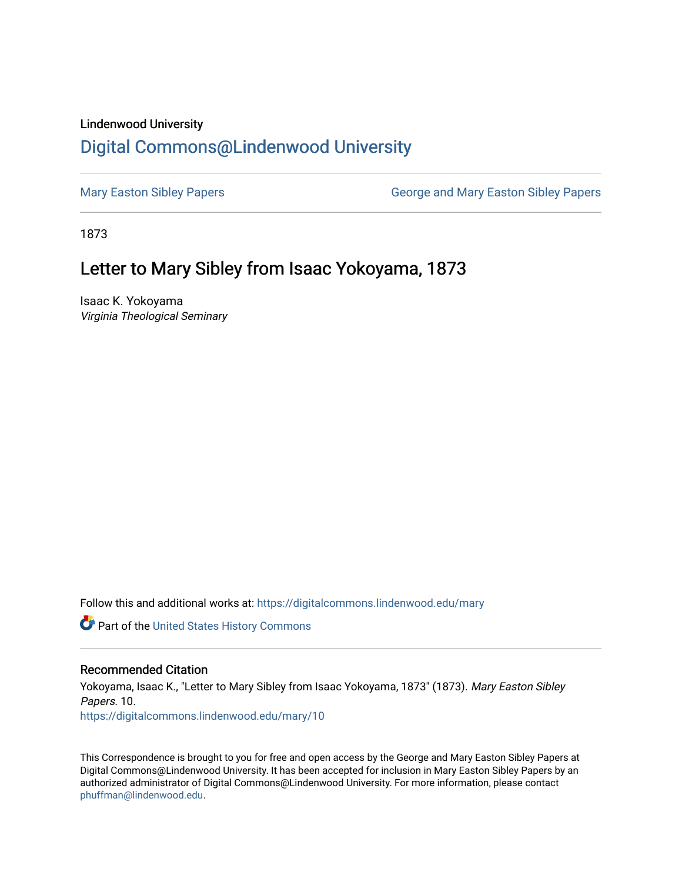## Lindenwood University

# [Digital Commons@Lindenwood University](https://digitalcommons.lindenwood.edu/)

[Mary Easton Sibley Papers](https://digitalcommons.lindenwood.edu/mary) **George and Mary Easton Sibley Papers** George and Mary Easton Sibley Papers

1873

## Letter to Mary Sibley from Isaac Yokoyama, 1873

Isaac K. Yokoyama Virginia Theological Seminary

Follow this and additional works at: [https://digitalcommons.lindenwood.edu/mary](https://digitalcommons.lindenwood.edu/mary?utm_source=digitalcommons.lindenwood.edu%2Fmary%2F10&utm_medium=PDF&utm_campaign=PDFCoverPages) 

Part of the [United States History Commons](http://network.bepress.com/hgg/discipline/495?utm_source=digitalcommons.lindenwood.edu%2Fmary%2F10&utm_medium=PDF&utm_campaign=PDFCoverPages) 

## Recommended Citation

Yokoyama, Isaac K., "Letter to Mary Sibley from Isaac Yokoyama, 1873" (1873). Mary Easton Sibley Papers. 10. [https://digitalcommons.lindenwood.edu/mary/10](https://digitalcommons.lindenwood.edu/mary/10?utm_source=digitalcommons.lindenwood.edu%2Fmary%2F10&utm_medium=PDF&utm_campaign=PDFCoverPages)

This Correspondence is brought to you for free and open access by the George and Mary Easton Sibley Papers at Digital Commons@Lindenwood University. It has been accepted for inclusion in Mary Easton Sibley Papers by an authorized administrator of Digital Commons@Lindenwood University. For more information, please contact [phuffman@lindenwood.edu](mailto:phuffman@lindenwood.edu).